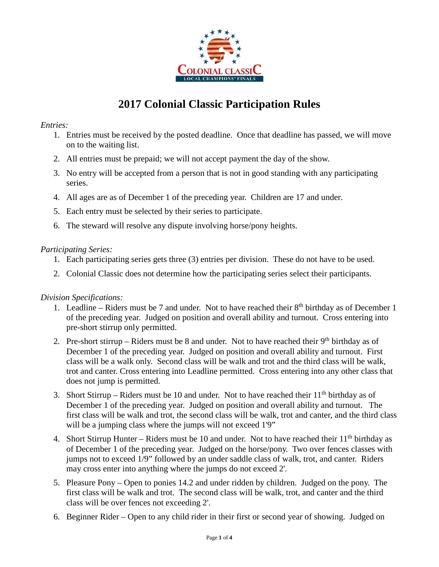

# **2017 Colonial Classic Participation Rules**

### *Entries:*

- 1. Entries must be received by the posted deadline. Once that deadline has passed, we will move on to the waiting list.
- 2. All entries must be prepaid; we will not accept payment the day of the show.
- 3. No entry will be accepted from a person that is not in good standing with any participating series.
- 4. All ages are as of December 1 of the preceding year. Children are 17 and under.
- 5. Each entry must be selected by their series to participate.
- 6. The steward will resolve any dispute involving horse/pony heights.

## *Participating Series:*

- 1. Each participating series gets three (3) entries per division. These do not have to be used.
- 2. Colonial Classic does not determine how the participating series select their participants.

## *Division Specifications:*

- 1. Leadline Riders must be 7 and under. Not to have reached their  $8<sup>th</sup>$  birthday as of December 1 of the preceding year. Judged on position and overall ability and turnout. Cross entering into pre-short stirrup only permitted.
- 2. Pre-short stirrup Riders must be 8 and under. Not to have reached their  $9<sup>th</sup>$  birthday as of December 1 of the preceding year. Judged on position and overall ability and turnout. First class will be a walk only. Second class will be walk and trot and the third class will be walk, trot and canter. Cross entering into Leadline permitted. Cross entering into any other class that does not jump is permitted.
- 3. Short Stirrup Riders must be 10 and under. Not to have reached their  $11<sup>th</sup>$  birthday as of December 1 of the preceding year. Judged on position and overall ability and turnout. The first class will be walk and trot, the second class will be walk, trot and canter, and the third class will be a jumping class where the jumps will not exceed 1'9"
- 4. Short Stirrup Hunter Riders must be 10 and under. Not to have reached their  $11<sup>th</sup>$  birthday as of December 1 of the preceding year. Judged on the horse/pony. Two over fences classes with jumps not to exceed 1/9" followed by an under saddle class of walk, trot, and canter. Riders may cross enter into anything where the jumps do not exceed 2'.
- 5. Pleasure Pony Open to ponies 14.2 and under ridden by children. Judged on the pony. The first class will be walk and trot. The second class will be walk, trot, and canter and the third class will be over fences not exceeding 2'.
- 6. Beginner Rider Open to any child rider in their first or second year of showing. Judged on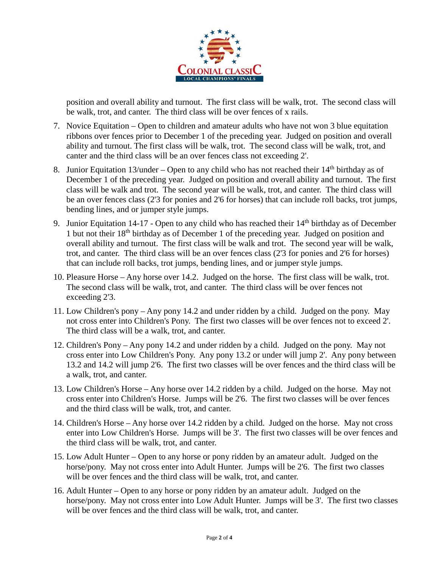

position and overall ability and turnout. The first class will be walk, trot. The second class will be walk, trot, and canter. The third class will be over fences of x rails.

- 7. Novice Equitation Open to children and amateur adults who have not won 3 blue equitation ribbons over fences prior to December 1 of the preceding year. Judged on position and overall ability and turnout. The first class will be walk, trot. The second class will be walk, trot, and canter and the third class will be an over fences class not exceeding 2'.
- 8. Junior Equitation 13/under Open to any child who has not reached their  $14<sup>th</sup>$  birthday as of December 1 of the preceding year. Judged on position and overall ability and turnout. The first class will be walk and trot. The second year will be walk, trot, and canter. The third class will be an over fences class (2'3 for ponies and 2'6 for horses) that can include roll backs, trot jumps, bending lines, and or jumper style jumps.
- 9. Junior Equitation 14-17 Open to any child who has reached their  $14<sup>th</sup>$  birthday as of December 1 but not their 18th birthday as of December 1 of the preceding year. Judged on position and overall ability and turnout. The first class will be walk and trot. The second year will be walk, trot, and canter. The third class will be an over fences class (2'3 for ponies and 2'6 for horses) that can include roll backs, trot jumps, bending lines, and or jumper style jumps.
- 10. Pleasure Horse Any horse over 14.2. Judged on the horse. The first class will be walk, trot. The second class will be walk, trot, and canter. The third class will be over fences not exceeding 2'3.
- 11. Low Children's pony Any pony 14.2 and under ridden by a child. Judged on the pony. May not cross enter into Children's Pony. The first two classes will be over fences not to exceed 2'. The third class will be a walk, trot, and canter.
- 12. Children's Pony Any pony 14.2 and under ridden by a child. Judged on the pony. May not cross enter into Low Children's Pony. Any pony 13.2 or under will jump 2'. Any pony between 13.2 and 14.2 will jump 2'6. The first two classes will be over fences and the third class will be a walk, trot, and canter.
- 13. Low Children's Horse Any horse over 14.2 ridden by a child. Judged on the horse. May not cross enter into Children's Horse. Jumps will be 2'6. The first two classes will be over fences and the third class will be walk, trot, and canter.
- 14. Children's Horse Any horse over 14.2 ridden by a child. Judged on the horse. May not cross enter into Low Children's Horse. Jumps will be 3'. The first two classes will be over fences and the third class will be walk, trot, and canter.
- 15. Low Adult Hunter Open to any horse or pony ridden by an amateur adult. Judged on the horse/pony. May not cross enter into Adult Hunter. Jumps will be 2'6. The first two classes will be over fences and the third class will be walk, trot, and canter.
- 16. Adult Hunter Open to any horse or pony ridden by an amateur adult. Judged on the horse/pony. May not cross enter into Low Adult Hunter. Jumps will be 3'. The first two classes will be over fences and the third class will be walk, trot, and canter.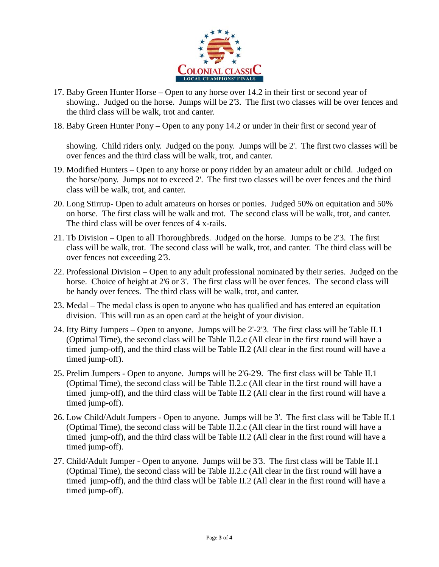

- 17. Baby Green Hunter Horse Open to any horse over 14.2 in their first or second year of showing.. Judged on the horse. Jumps will be 2'3. The first two classes will be over fences and the third class will be walk, trot and canter.
- 18. Baby Green Hunter Pony Open to any pony 14.2 or under in their first or second year of

showing. Child riders only. Judged on the pony. Jumps will be 2'. The first two classes will be over fences and the third class will be walk, trot, and canter.

- 19. Modified Hunters Open to any horse or pony ridden by an amateur adult or child. Judged on the horse/pony. Jumps not to exceed 2'. The first two classes will be over fences and the third class will be walk, trot, and canter.
- 20. Long Stirrup- Open to adult amateurs on horses or ponies. Judged 50% on equitation and 50% on horse. The first class will be walk and trot. The second class will be walk, trot, and canter. The third class will be over fences of 4 x-rails.
- 21. Tb Division Open to all Thoroughbreds. Judged on the horse. Jumps to be 2'3. The first class will be walk, trot. The second class will be walk, trot, and canter. The third class will be over fences not exceeding 2'3.
- 22. Professional Division Open to any adult professional nominated by their series. Judged on the horse. Choice of height at 2'6 or 3'. The first class will be over fences. The second class will be handy over fences. The third class will be walk, trot, and canter.
- 23. Medal The medal class is open to anyone who has qualified and has entered an equitation division. This will run as an open card at the height of your division.
- 24. Itty Bitty Jumpers Open to anyone. Jumps will be 2'-2'3. The first class will be Table II.1 (Optimal Time), the second class will be Table II.2.c (All clear in the first round will have a timed jump-off), and the third class will be Table II.2 (All clear in the first round will have a timed jump-off).
- 25. Prelim Jumpers Open to anyone. Jumps will be 2'6-2'9. The first class will be Table II.1 (Optimal Time), the second class will be Table II.2.c (All clear in the first round will have a timed jump-off), and the third class will be Table II.2 (All clear in the first round will have a timed jump-off).
- 26. Low Child/Adult Jumpers Open to anyone. Jumps will be 3'. The first class will be Table II.1 (Optimal Time), the second class will be Table II.2.c (All clear in the first round will have a timed jump-off), and the third class will be Table II.2 (All clear in the first round will have a timed jump-off).
- 27. Child/Adult Jumper Open to anyone. Jumps will be 3'3. The first class will be Table II.1 (Optimal Time), the second class will be Table II.2.c (All clear in the first round will have a timed jump-off), and the third class will be Table II.2 (All clear in the first round will have a timed jump-off).